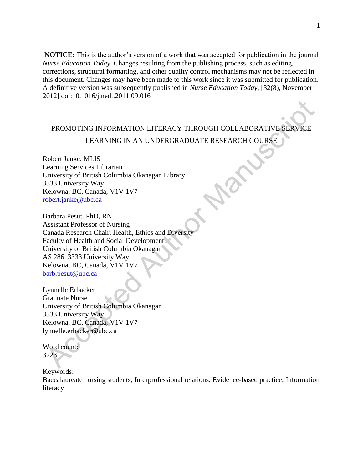**NOTICE:** This is the author's version of a work that was accepted for publication in the journal *Nurse Education Today*. Changes resulting from the publishing process, such as editing, corrections, structural formatting, and other quality control mechanisms may not be reflected in this document. Changes may have been made to this work since it was submitted for publication. A definitive version was subsequently published in *Nurse Education Today*, [32(8), November 2012] doi:10.1016/j.nedt.2011.09.016

## PROMOTING INFORMATION LITERACY THROUGH COLLABORATIVE SERVICE LEARNING IN AN UNDERGRADUATE RESEARCH COURSE

Robert Janke. MLIS Learning Services Librarian University of British Columbia Okanagan Library 3333 University Way Kelowna, BC, Canada, V1V 1V7 [robert.janke@ubc.ca](mailto:robert.janke@ubc.ca)

Barbara Pesut. PhD, RN Assistant Professor of Nursing Canada Research Chair, Health, Ethics and Diversit Faculty of Health and Social Development University of British Columbia Okanagan AS 286, 3333 University Way Kelowna, BC, Canada, V1V 1V7 [barb.pesut@ubc.ca](mailto:barb.pesut@ubc.ca)

Lynnelle Erbacker Graduate Nurse University of British Columbia Okanagan 3333 University Way Kelowna, BC, Canada, V1V 1V7 lynnelle.erbacker@ubc.ca

Word count: 3223

Keywords:

Baccalaureate nursing students; Interprofessional relations; Evidence-based practice; Information literacy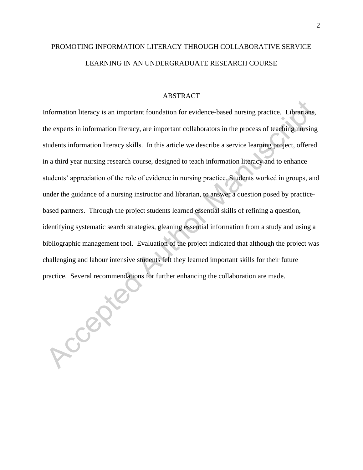# PROMOTING INFORMATION LITERACY THROUGH COLLABORATIVE SERVICE LEARNING IN AN UNDERGRADUATE RESEARCH COURSE

2

#### ABSTRACT

Information literacy is an important foundation for evidence-based nursing practice. Librarians, the experts in information literacy, are important collaborators in the process of teaching nursing students information literacy skills. In this article we describe a service learning project, offered in a third year nursing research course, designed to teach information literacy and to enhance students' appreciation of the role of evidence in nursing practice. Students worked in groups, and under the guidance of a nursing instructor and librarian, to answer a question posed by practicebased partners. Through the project students learned essential skills of refining a question, identifying systematic search strategies, gleaning essential information from a study and using a bibliographic management tool. Evaluation of the project indicated that although the project was challenging and labour intensive students felt they learned important skills for their future practice. Several recommendations for further enhancing the collaboration are made.

Accepter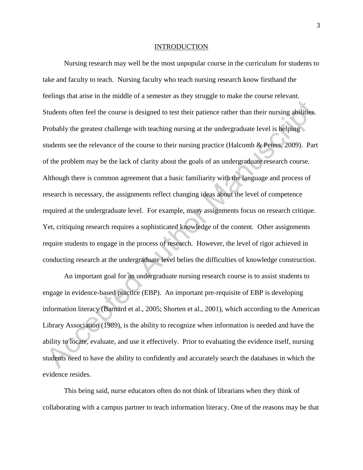#### INTRODUCTION

Nursing research may well be the most unpopular course in the curriculum for students to take and faculty to teach. Nursing faculty who teach nursing research know firsthand the feelings that arise in the middle of a semester as they struggle to make the course relevant. Students often feel the course is designed to test their patience rather than their nursing abilities. Probably the greatest challenge with teaching nursing at the undergraduate level is helping students see the relevance of the course to their nursing practice (Halcomb & Peters, 2009). Part of the problem may be the lack of clarity about the goals of an undergraduate research course. Although there is common agreement that a basic familiarity with the language and process of research is necessary, the assignments reflect changing ideas about the level of competence required at the undergraduate level. For example, many assignments focus on research critique. Yet, critiquing research requires a sophisticated knowledge of the content. Other assignments require students to engage in the process of research. However, the level of rigor achieved in conducting research at the undergraduate level belies the difficulties of knowledge construction.

An important goal for an undergraduate nursing research course is to assist students to engage in evidence-based practice (EBP). An important pre-requisite of EBP is developing information literacy (Barnard et al., 2005; Shorten et al., 2001), which according to the American Library Association (1989), is the ability to recognize when information is needed and have the ability to locate, evaluate, and use it effectively. Prior to evaluating the evidence itself, nursing students need to have the ability to confidently and accurately search the databases in which the evidence resides.

This being said, nurse educators often do not think of librarians when they think of collaborating with a campus partner to teach information literacy. One of the reasons may be that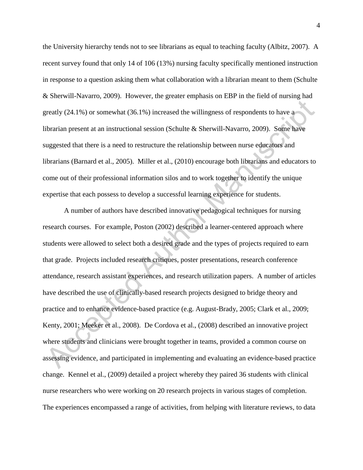the University hierarchy tends not to see librarians as equal to teaching faculty (Albitz, 2007). A recent survey found that only 14 of 106 (13%) nursing faculty specifically mentioned instruction in response to a question asking them what collaboration with a librarian meant to them (Schulte & Sherwill-Navarro, 2009). However, the greater emphasis on EBP in the field of nursing had greatly (24.1%) or somewhat (36.1%) increased the willingness of respondents to have a librarian present at an instructional session (Schulte & Sherwill-Navarro, 2009). Some have suggested that there is a need to restructure the relationship between nurse educators and librarians (Barnard et al., 2005). Miller et al., (2010) encourage both librarians and educators to come out of their professional information silos and to work together to identify the unique expertise that each possess to develop a successful learning experience for students.

A number of authors have described innovative pedagogical techniques for nursing research courses. For example, Poston (2002) described a learner-centered approach where students were allowed to select both a desired grade and the types of projects required to earn that grade. Projects included research critiques, poster presentations, research conference attendance, research assistant experiences, and research utilization papers. A number of articles have described the use of clinically-based research projects designed to bridge theory and practice and to enhance evidence-based practice (e.g. August-Brady, 2005; Clark et al., 2009; Kenty, 2001; Meeker et al., 2008). De Cordova et al., (2008) described an innovative project where students and clinicians were brought together in teams, provided a common course on assessing evidence, and participated in implementing and evaluating an evidence-based practice change. Kennel et al., (2009) detailed a project whereby they paired 36 students with clinical nurse researchers who were working on 20 research projects in various stages of completion. The experiences encompassed a range of activities, from helping with literature reviews, to data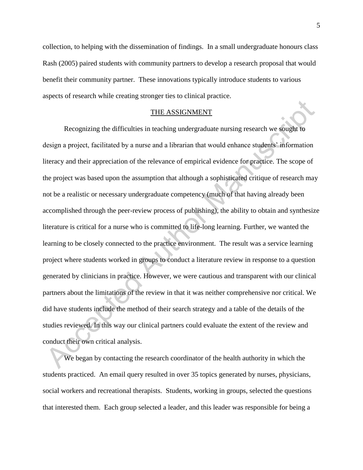collection, to helping with the dissemination of findings. In a small undergraduate honours class Rash (2005) paired students with community partners to develop a research proposal that would benefit their community partner. These innovations typically introduce students to various aspects of research while creating stronger ties to clinical practice.

#### THE ASSIGNMENT

Recognizing the difficulties in teaching undergraduate nursing research we sought to design a project, facilitated by a nurse and a librarian that would enhance students' information literacy and their appreciation of the relevance of empirical evidence for practice. The scope of the project was based upon the assumption that although a sophisticated critique of research may not be a realistic or necessary undergraduate competency (much of that having already been accomplished through the peer-review process of publishing), the ability to obtain and synthesize literature is critical for a nurse who is committed to life-long learning. Further, we wanted the learning to be closely connected to the practice environment. The result was a service learning project where students worked in groups to conduct a literature review in response to a question generated by clinicians in practice. However, we were cautious and transparent with our clinical partners about the limitations of the review in that it was neither comprehensive nor critical. We did have students include the method of their search strategy and a table of the details of the studies reviewed. In this way our clinical partners could evaluate the extent of the review and conduct their own critical analysis.

We began by contacting the research coordinator of the health authority in which the students practiced. An email query resulted in over 35 topics generated by nurses, physicians, social workers and recreational therapists. Students, working in groups, selected the questions that interested them. Each group selected a leader, and this leader was responsible for being a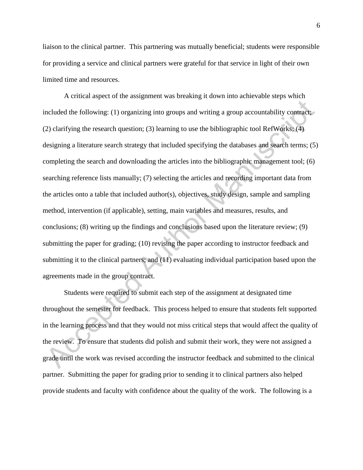liaison to the clinical partner. This partnering was mutually beneficial; students were responsible for providing a service and clinical partners were grateful for that service in light of their own limited time and resources.

A critical aspect of the assignment was breaking it down into achievable steps which included the following: (1) organizing into groups and writing a group accountability contract; (2) clarifying the research question; (3) learning to use the bibliographic tool RefWorks; (4) designing a literature search strategy that included specifying the databases and search terms; (5) completing the search and downloading the articles into the bibliographic management tool; (6) searching reference lists manually; (7) selecting the articles and recording important data from the articles onto a table that included author(s), objectives, study design, sample and sampling method, intervention (if applicable), setting, main variables and measures, results, and conclusions; (8) writing up the findings and conclusions based upon the literature review; (9) submitting the paper for grading; (10) revising the paper according to instructor feedback and submitting it to the clinical partners; and (11) evaluating individual participation based upon the agreements made in the group contract.

Students were required to submit each step of the assignment at designated time throughout the semester for feedback. This process helped to ensure that students felt supported in the learning process and that they would not miss critical steps that would affect the quality of the review. To ensure that students did polish and submit their work, they were not assigned a grade until the work was revised according the instructor feedback and submitted to the clinical partner. Submitting the paper for grading prior to sending it to clinical partners also helped provide students and faculty with confidence about the quality of the work. The following is a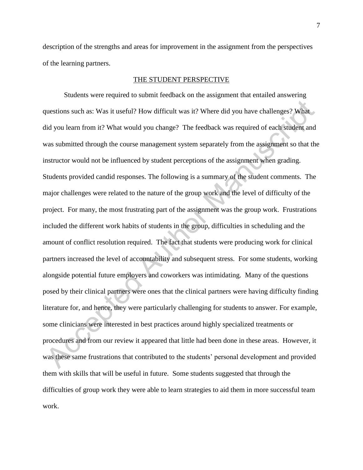description of the strengths and areas for improvement in the assignment from the perspectives of the learning partners.

### THE STUDENT PERSPECTIVE

Students were required to submit feedback on the assignment that entailed answering questions such as: Was it useful? How difficult was it? Where did you have challenges? What did you learn from it? What would you change? The feedback was required of each student and was submitted through the course management system separately from the assignment so that the instructor would not be influenced by student perceptions of the assignment when grading. Students provided candid responses. The following is a summary of the student comments. The major challenges were related to the nature of the group work and the level of difficulty of the project. For many, the most frustrating part of the assignment was the group work. Frustrations included the different work habits of students in the group, difficulties in scheduling and the amount of conflict resolution required. The fact that students were producing work for clinical partners increased the level of accountability and subsequent stress. For some students, working alongside potential future employers and coworkers was intimidating. Many of the questions posed by their clinical partners were ones that the clinical partners were having difficulty finding literature for, and hence, they were particularly challenging for students to answer. For example, some clinicians were interested in best practices around highly specialized treatments or procedures and from our review it appeared that little had been done in these areas. However, it was these same frustrations that contributed to the students' personal development and provided them with skills that will be useful in future. Some students suggested that through the difficulties of group work they were able to learn strategies to aid them in more successful team work.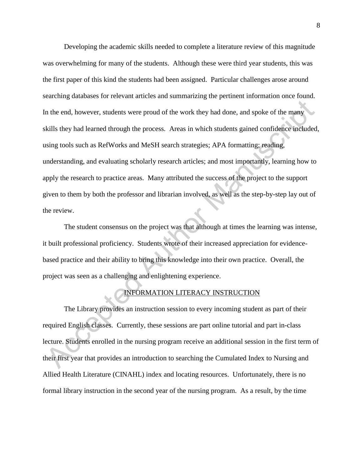Developing the academic skills needed to complete a literature review of this magnitude was overwhelming for many of the students. Although these were third year students, this was the first paper of this kind the students had been assigned. Particular challenges arose around searching databases for relevant articles and summarizing the pertinent information once found. In the end, however, students were proud of the work they had done, and spoke of the many skills they had learned through the process. Areas in which students gained confidence included, using tools such as RefWorks and MeSH search strategies; APA formatting; reading, understanding, and evaluating scholarly research articles; and most importantly, learning how to apply the research to practice areas. Many attributed the success of the project to the support given to them by both the professor and librarian involved, as well as the step-by-step lay out of the review.

The student consensus on the project was that although at times the learning was intense, it built professional proficiency. Students wrote of their increased appreciation for evidencebased practice and their ability to bring this knowledge into their own practice. Overall, the project was seen as a challenging and enlightening experience.

## INFORMATION LITERACY INSTRUCTION

The Library provides an instruction session to every incoming student as part of their required English classes. Currently, these sessions are part online tutorial and part in-class lecture. Students enrolled in the nursing program receive an additional session in the first term of their first year that provides an introduction to searching the Cumulated Index to Nursing and Allied Health Literature (CINAHL) index and locating resources. Unfortunately, there is no formal library instruction in the second year of the nursing program. As a result, by the time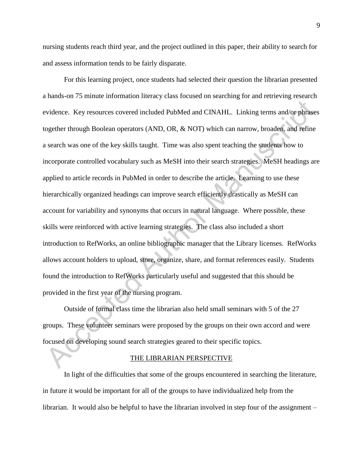nursing students reach third year, and the project outlined in this paper, their ability to search for and assess information tends to be fairly disparate.

For this learning project, once students had selected their question the librarian presented a hands-on 75 minute information literacy class focused on searching for and retrieving research evidence. Key resources covered included PubMed and CINAHL. Linking terms and/or phrases together through Boolean operators (AND, OR, & NOT) which can narrow, broaden, and refine a search was one of the key skills taught. Time was also spent teaching the students how to incorporate controlled vocabulary such as MeSH into their search strategies. MeSH headings are applied to article records in PubMed in order to describe the article. Learning to use these hierarchically organized headings can improve search efficiently drastically as MeSH can account for variability and synonyms that occurs in natural language. Where possible, these skills were reinforced with active learning strategies. The class also included a short introduction to RefWorks, an online bibliographic manager that the Library licenses. RefWorks allows account holders to upload, store, organize, share, and format references easily. Students found the introduction to RefWorks particularly useful and suggested that this should be provided in the first year of the nursing program.

Outside of formal class time the librarian also held small seminars with 5 of the 27 groups. These volunteer seminars were proposed by the groups on their own accord and were focused on developing sound search strategies geared to their specific topics.

### THE LIBRARIAN PERSPECTIVE

In light of the difficulties that some of the groups encountered in searching the literature, in future it would be important for all of the groups to have individualized help from the librarian. It would also be helpful to have the librarian involved in step four of the assignment –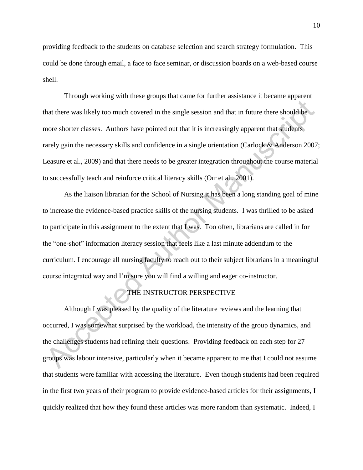providing feedback to the students on database selection and search strategy formulation. This could be done through email, a face to face seminar, or discussion boards on a web-based course shell.

Through working with these groups that came for further assistance it became apparent that there was likely too much covered in the single session and that in future there should be more shorter classes. Authors have pointed out that it is increasingly apparent that students rarely gain the necessary skills and confidence in a single orientation (Carlock & Anderson 2007; Leasure et al., 2009) and that there needs to be greater integration throughout the course material to successfully teach and reinforce critical literacy skills (Orr et al., 2001).

As the liaison librarian for the School of Nursing it has been a long standing goal of mine to increase the evidence-based practice skills of the nursing students. I was thrilled to be asked to participate in this assignment to the extent that I was. Too often, librarians are called in for the "one-shot" information literacy session that feels like a last minute addendum to the curriculum. I encourage all nursing faculty to reach out to their subject librarians in a meaningful course integrated way and I'm sure you will find a willing and eager co-instructor.

### THE INSTRUCTOR PERSPECTIVE

Although I was pleased by the quality of the literature reviews and the learning that occurred, I was somewhat surprised by the workload, the intensity of the group dynamics, and the challenges students had refining their questions. Providing feedback on each step for 27 groups was labour intensive, particularly when it became apparent to me that I could not assume that students were familiar with accessing the literature. Even though students had been required in the first two years of their program to provide evidence-based articles for their assignments, I quickly realized that how they found these articles was more random than systematic. Indeed, I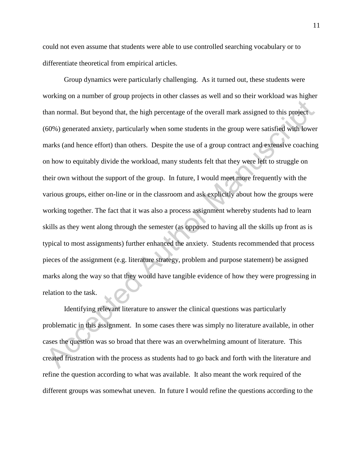could not even assume that students were able to use controlled searching vocabulary or to differentiate theoretical from empirical articles.

Group dynamics were particularly challenging. As it turned out, these students were working on a number of group projects in other classes as well and so their workload was higher than normal. But beyond that, the high percentage of the overall mark assigned to this project (60%) generated anxiety, particularly when some students in the group were satisfied with lower marks (and hence effort) than others. Despite the use of a group contract and extensive coaching on how to equitably divide the workload, many students felt that they were left to struggle on their own without the support of the group. In future, I would meet more frequently with the various groups, either on-line or in the classroom and ask explicitly about how the groups were working together. The fact that it was also a process assignment whereby students had to learn skills as they went along through the semester (as opposed to having all the skills up front as is typical to most assignments) further enhanced the anxiety. Students recommended that process pieces of the assignment (e.g. literature strategy, problem and purpose statement) be assigned marks along the way so that they would have tangible evidence of how they were progressing in relation to the task.

Identifying relevant literature to answer the clinical questions was particularly problematic in this assignment. In some cases there was simply no literature available, in other cases the question was so broad that there was an overwhelming amount of literature. This created frustration with the process as students had to go back and forth with the literature and refine the question according to what was available. It also meant the work required of the different groups was somewhat uneven. In future I would refine the questions according to the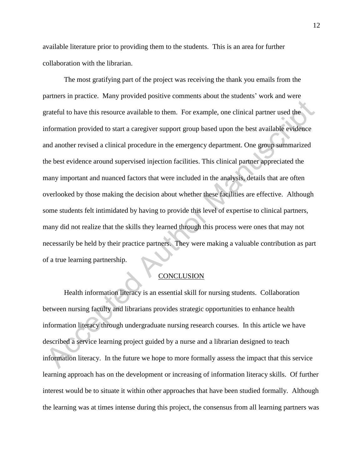available literature prior to providing them to the students. This is an area for further collaboration with the librarian.

The most gratifying part of the project was receiving the thank you emails from the partners in practice. Many provided positive comments about the students' work and were grateful to have this resource available to them. For example, one clinical partner used the information provided to start a caregiver support group based upon the best available evidence and another revised a clinical procedure in the emergency department. One group summarized the best evidence around supervised injection facilities. This clinical partner appreciated the many important and nuanced factors that were included in the analysis, details that are often overlooked by those making the decision about whether these facilities are effective. Although some students felt intimidated by having to provide this level of expertise to clinical partners, many did not realize that the skills they learned through this process were ones that may not necessarily be held by their practice partners. They were making a valuable contribution as part of a true learning partnership.

## **CONCLUSION**

Health information literacy is an essential skill for nursing students. Collaboration between nursing faculty and librarians provides strategic opportunities to enhance health information literacy through undergraduate nursing research courses. In this article we have described a service learning project guided by a nurse and a librarian designed to teach information literacy. In the future we hope to more formally assess the impact that this service learning approach has on the development or increasing of information literacy skills. Of further interest would be to situate it within other approaches that have been studied formally. Although the learning was at times intense during this project, the consensus from all learning partners was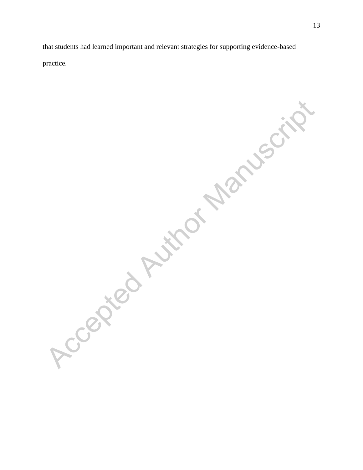that students had learned important and relevant strategies for supporting evidence-based practice.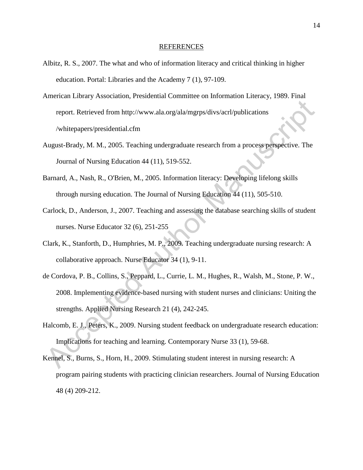#### REFERENCES

- Albitz, R. S., 2007. The what and who of information literacy and critical thinking in higher education. Portal: Libraries and the Academy 7 (1), 97-109.
- American Library Association, Presidential Committee on Information Literacy, 1989. Final report. Retrieved from http://www.ala.org/ala/mgrps/divs/acrl/publications /whitepapers/presidential.cfm
- August-Brady, M. M., 2005. Teaching undergraduate research from a process perspective. The Journal of Nursing Education 44 (11), 519-552.
- Barnard, A., Nash, R., O'Brien, M., 2005. Information literacy: Developing lifelong skills through nursing education. The Journal of Nursing Education 44 (11), 505-510.
- Carlock, D., Anderson, J., 2007. Teaching and assessing the database searching skills of student nurses. Nurse Educator 32 (6), 251-255
- Clark, K., Stanforth, D., Humphries, M. P., 2009. Teaching undergraduate nursing research: A collaborative approach. Nurse Educator 34 (1), 9-11.
- de Cordova, P. B., Collins, S., Peppard, L., Currie, L. M., Hughes, R., Walsh, M., Stone, P. W., 2008. Implementing evidence-based nursing with student nurses and clinicians: Uniting the strengths. Applied Nursing Research 21 (4), 242-245.
- Halcomb, E. J., Peters, K., 2009. Nursing student feedback on undergraduate research education: Implications for teaching and learning. Contemporary Nurse 33 (1), 59-68.
- Kennel, S., Burns, S., Horn, H., 2009. Stimulating student interest in nursing research: A program pairing students with practicing clinician researchers. Journal of Nursing Education 48 (4) 209-212.